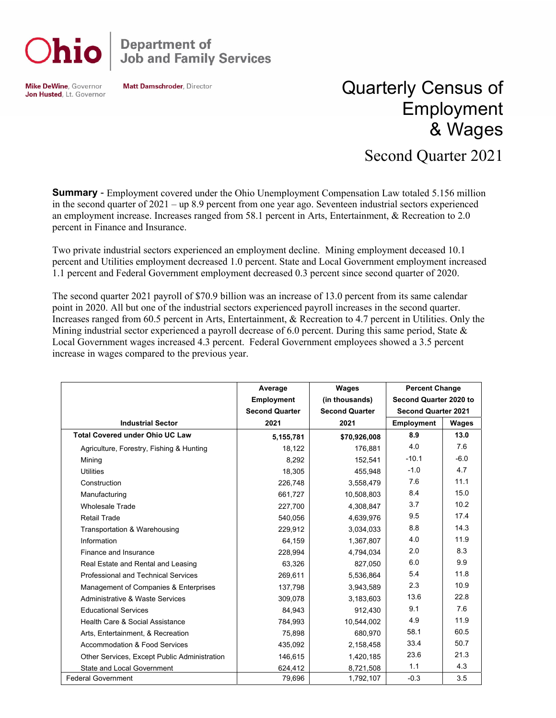

## **Department of<br>Job and Family Services**

**Mike DeWine, Governor** Jon Husted, Lt. Governor **Matt Damschroder, Director** 

## Quarterly Census of Employment & Wages

## Second Quarter 2021

**Summary** - Employment covered under the Ohio Unemployment Compensation Law totaled 5.156 million in the second quarter of 2021 – up 8.9 percent from one year ago. Seventeen industrial sectors experienced an employment increase. Increases ranged from 58.1 percent in Arts, Entertainment, & Recreation to 2.0 percent in Finance and Insurance.

Two private industrial sectors experienced an employment decline. Mining employment deceased 10.1 percent and Utilities employment decreased 1.0 percent. State and Local Government employment increased 1.1 percent and Federal Government employment decreased 0.3 percent since second quarter of 2020.

The second quarter 2021 payroll of \$70.9 billion was an increase of 13.0 percent from its same calendar point in 2020. All but one of the industrial sectors experienced payroll increases in the second quarter. Increases ranged from 60.5 percent in Arts, Entertainment, & Recreation to 4.7 percent in Utilities. Only the Mining industrial sector experienced a payroll decrease of 6.0 percent. During this same period, State  $\&$ Local Government wages increased 4.3 percent. Federal Government employees showed a 3.5 percent increase in wages compared to the previous year.

|                                              | Average               | Wages                 | <b>Percent Change</b>      |        |
|----------------------------------------------|-----------------------|-----------------------|----------------------------|--------|
|                                              | <b>Employment</b>     | (in thousands)        | Second Quarter 2020 to     |        |
|                                              | <b>Second Quarter</b> | <b>Second Quarter</b> | <b>Second Quarter 2021</b> |        |
| <b>Industrial Sector</b>                     | 2021                  | 2021                  | <b>Employment</b>          | Wages  |
| <b>Total Covered under Ohio UC Law</b>       | 5,155,781             | \$70,926,008          | 8.9                        | 13.0   |
| Agriculture, Forestry, Fishing & Hunting     | 18,122                | 176,881               | 4.0                        | 7.6    |
| Mining                                       | 8,292                 | 152.541               | $-10.1$                    | $-6.0$ |
| <b>Utilities</b>                             | 18,305                | 455,948               | $-1.0$                     | 4.7    |
| Construction                                 | 226,748               | 3,558,479             | 7.6                        | 11.1   |
| Manufacturing                                | 661,727               | 10,508,803            | 8.4                        | 15.0   |
| <b>Wholesale Trade</b>                       | 227,700               | 4,308,847             | 3.7                        | 10.2   |
| <b>Retail Trade</b>                          | 540,056               | 4,639,976             | 9.5                        | 17.4   |
| Transportation & Warehousing                 | 229,912               | 3,034,033             | 8.8                        | 14.3   |
| Information                                  | 64,159                | 1,367,807             | 4.0                        | 11.9   |
| Finance and Insurance                        | 228,994               | 4,794,034             | 2.0                        | 8.3    |
| Real Estate and Rental and Leasing           | 63,326                | 827,050               | 6.0                        | 9.9    |
| Professional and Technical Services          | 269,611               | 5,536,864             | 5.4                        | 11.8   |
| Management of Companies & Enterprises        | 137,798               | 3,943,589             | 2.3                        | 10.9   |
| Administrative & Waste Services              | 309,078               | 3,183,603             | 13.6                       | 22.8   |
| <b>Educational Services</b>                  | 84,943                | 912,430               | 9.1                        | 7.6    |
| Health Care & Social Assistance              | 784,993               | 10,544,002            | 4.9                        | 11.9   |
| Arts, Entertainment, & Recreation            | 75,898                | 680,970               | 58.1                       | 60.5   |
| <b>Accommodation &amp; Food Services</b>     | 435,092               | 2,158,458             | 33.4                       | 50.7   |
| Other Services, Except Public Administration | 146,615               | 1,420,185             | 23.6                       | 21.3   |
| State and Local Government                   | 624,412               | 8,721,508             | 1.1                        | 4.3    |
| <b>Federal Government</b>                    | 79,696                | 1,792,107             | $-0.3$                     | 3.5    |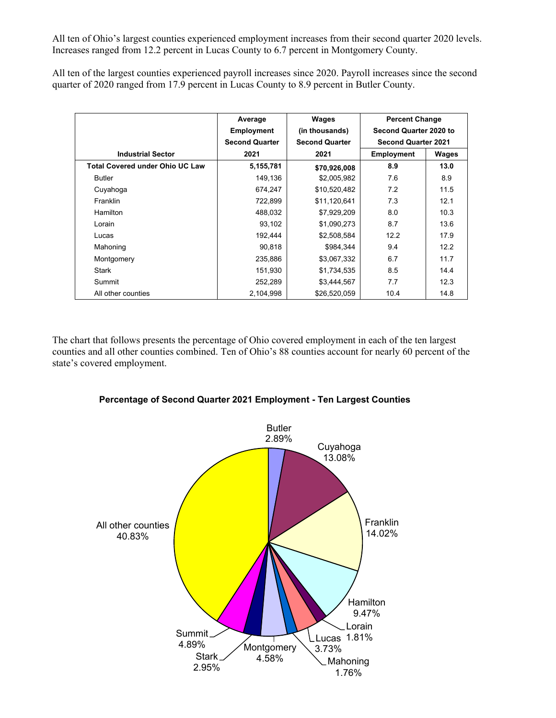All ten of Ohio's largest counties experienced employment increases from their second quarter 2020 levels. Increases ranged from 12.2 percent in Lucas County to 6.7 percent in Montgomery County.

All ten of the largest counties experienced payroll increases since 2020. Payroll increases since the second quarter of 2020 ranged from 17.9 percent in Lucas County to 8.9 percent in Butler County.

|                                        | Average               | Wages                 | <b>Percent Change</b>      |       |
|----------------------------------------|-----------------------|-----------------------|----------------------------|-------|
|                                        | <b>Employment</b>     | (in thousands)        | Second Quarter 2020 to     |       |
|                                        | <b>Second Quarter</b> | <b>Second Quarter</b> | <b>Second Quarter 2021</b> |       |
| <b>Industrial Sector</b>               | 2021                  | 2021                  | <b>Employment</b>          | Wages |
| <b>Total Covered under Ohio UC Law</b> | 5,155,781             | \$70,926,008          | 8.9                        | 13.0  |
| <b>Butler</b>                          | 149,136               | \$2,005,982           | 7.6                        | 8.9   |
| Cuyahoga                               | 674,247               | \$10,520,482          | 7.2                        | 11.5  |
| Franklin                               | 722,899               | \$11,120,641          | 7.3                        | 12.1  |
| Hamilton                               | 488,032               | \$7,929,209           | 8.0                        | 10.3  |
| Lorain                                 | 93,102                | \$1,090,273           | 8.7                        | 13.6  |
| Lucas                                  | 192,444               | \$2,508,584           | 12.2                       | 17.9  |
| Mahoning                               | 90,818                | \$984,344             | 9.4                        | 12.2  |
| Montgomery                             | 235,886               | \$3,067,332           | 6.7                        | 11.7  |
| Stark                                  | 151,930               | \$1,734,535           | 8.5                        | 14.4  |
| Summit                                 | 252,289               | \$3,444,567           | 7.7                        | 12.3  |
| All other counties                     | 2,104,998             | \$26,520,059          | 10.4                       | 14.8  |

The chart that follows presents the percentage of Ohio covered employment in each of the ten largest counties and all other counties combined. Ten of Ohio's 88 counties account for nearly 60 percent of the state's covered employment.



## **Percentage of Second Quarter 2021 Employment - Ten Largest Counties**